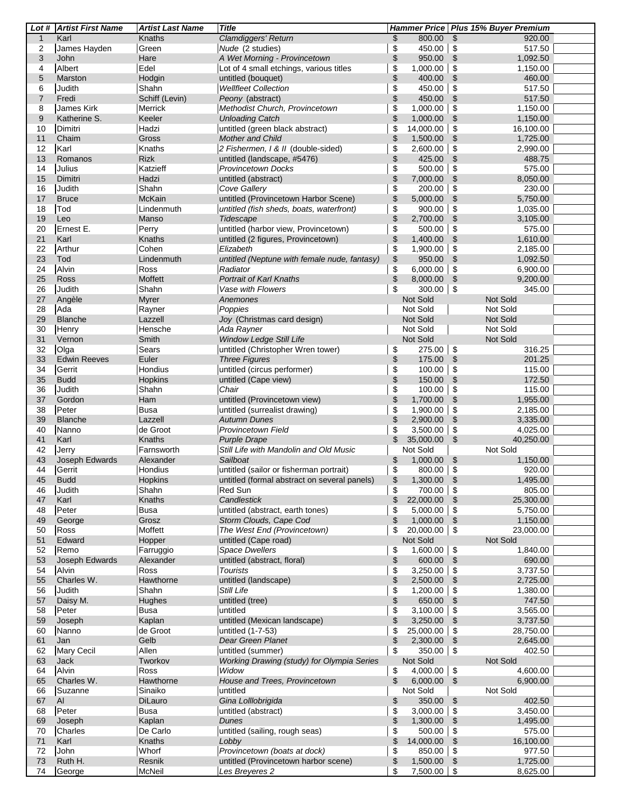|                | Lot # Artist First Name | <b>Artist Last Name</b> | <b>Title</b>                                 |                                 | Hammer Price   Plus 15% Buyer Premium |  |
|----------------|-------------------------|-------------------------|----------------------------------------------|---------------------------------|---------------------------------------|--|
| $\mathbf{1}$   | Karl                    | Knaths                  | Clamdiggers' Return                          | \$<br>800.00                    | \$<br>920.00                          |  |
| 2              | James Hayden            | Green                   | Nude (2 studies)                             | \$<br>450.00                    | 517.50<br>\$                          |  |
| 3              | John                    | Hare                    | A Wet Morning - Provincetown                 | \$<br>950.00                    | \$<br>1,092.50                        |  |
| 4              | Albert                  | Edel                    | Lot of 4 small etchings, various titles      | \$<br>1,000.00                  | \$<br>1,150.00                        |  |
| 5              | Marston                 | Hodgin                  | untitled (bouquet)                           | \$<br>400.00                    | \$<br>460.00                          |  |
|                |                         |                         |                                              |                                 |                                       |  |
| 6              | Judith                  | Shahn                   | <b>Wellfleet Collection</b>                  | \$<br>450.00                    | \$<br>517.50                          |  |
| $\overline{7}$ | Fredi                   | Schiff (Levin)          | Peony (abstract)                             | \$<br>450.00                    | \$<br>517.50                          |  |
| 8              | James Kirk              | Merrick                 | Methodist Church, Provincetown               | \$<br>1,000.00                  | \$<br>1,150.00                        |  |
| 9              | Katherine S.            | Keeler                  | <b>Unloading Catch</b>                       | \$<br>1,000.00                  | 1,150.00<br>\$                        |  |
| 10             | Dimitri                 | Hadzi                   | untitled (green black abstract)              | \$<br>14,000.00                 | \$<br>16,100.00                       |  |
| 11             | Chaim                   | Gross                   | <b>Mother and Child</b>                      | \$<br>1,500.00                  | \$<br>1,725.00                        |  |
| 12             | Karl                    | Knaths                  | 2 Fishermen, I & II (double-sided)           | \$<br>2,600.00                  | \$<br>2,990.00                        |  |
| 13             | Romanos                 | <b>Rizk</b>             | untitled (landscape, #5476)                  | \$<br>425.00                    | 488.75<br>\$                          |  |
| 14             | Julius                  | Katzieff                | Provincetown Docks                           | \$<br>500.00                    | \$<br>575.00                          |  |
| 15             | Dimitri                 | Hadzi                   | untitled (abstract)                          | \$<br>7,000.00                  | 8,050.00<br>\$                        |  |
| 16             | Judith                  | Shahn                   | Cove Gallery                                 | \$<br>200.00                    | \$<br>230.00                          |  |
| 17             | <b>Bruce</b>            | <b>McKain</b>           | untitled (Provincetown Harbor Scene)         | \$<br>5,000.00                  | 5,750.00<br>\$                        |  |
| 18             | Tod                     | Lindenmuth              | untitled (fish sheds, boats, waterfront)     | \$<br>900.00                    | \$<br>1,035.00                        |  |
| 19             |                         |                         |                                              |                                 |                                       |  |
|                | Leo                     | Manso                   | Tidescape                                    | \$<br>2,700.00                  | \$<br>3,105.00                        |  |
| 20             | Ernest E.               | Perry                   | untitled (harbor view, Provincetown)         | \$<br>500.00                    | 575.00<br>\$                          |  |
| 21             | Karl                    | Knaths                  | untitled (2 figures, Provincetown)           | \$<br>1,400.00                  | \$<br>1,610.00                        |  |
| 22             | Arthur                  | Cohen                   | Elizabeth                                    | \$<br>1,900.00                  | \$<br>2,185.00                        |  |
| 23             | Tod                     | Lindenmuth              | untitled (Neptune with female nude, fantasy) | \$<br>950.00                    | 1,092.50<br>\$                        |  |
| 24             | Alvin                   | Ross                    | Radiator                                     | \$<br>6,000.00                  | \$<br>6,900.00                        |  |
| 25             | Ross                    | <b>Moffett</b>          | <b>Portrait of Karl Knaths</b>               | \$<br>8,000.00                  | \$<br>9,200.00                        |  |
| 26             | Judith                  | Shahn                   | Vase with Flowers                            | \$<br>300.00                    | \$<br>345.00                          |  |
| 27             | Angèle                  | <b>Myrer</b>            | Anemones                                     | Not Sold                        | Not Sold                              |  |
| 28             | Ada                     | Rayner                  | Poppies                                      | Not Sold                        | Not Sold                              |  |
| 29             | <b>Blanche</b>          | Lazzell                 | Joy (Christmas card design)                  | Not Sold                        | Not Sold                              |  |
| 30             |                         | Hensche                 | Ada Rayner                                   | Not Sold                        | Not Sold                              |  |
|                | Henry                   |                         |                                              |                                 |                                       |  |
| 31             | Vernon                  | Smith                   | <b>Window Ledge Still Life</b>               | Not Sold                        | Not Sold                              |  |
| 32             | Olga                    | Sears                   | untitled (Christopher Wren tower)            | \$<br>275.00                    | \$<br>316.25                          |  |
| 33             | <b>Edwin Reeves</b>     | Euler                   | <b>Three Figures</b>                         | \$<br>175.00                    | 201.25<br>\$                          |  |
| 34             | Gerrit                  | Hondius                 | untitled (circus performer)                  | \$<br>100.00                    | \$<br>115.00                          |  |
| 35             | <b>Budd</b>             | Hopkins                 | untitled (Cape view)                         | \$<br>150.00                    | \$<br>172.50                          |  |
| 36             | Judith                  | Shahn                   | Chair                                        | \$<br>100.00                    | \$<br>115.00                          |  |
| 37             | Gordon                  | Ham                     | untitled (Provincetown view)                 | \$<br>1,700.00                  | 1,955.00<br>\$                        |  |
| 38             | Peter                   | <b>Busa</b>             | untitled (surrealist drawing)                | \$<br>1,900.00                  | \$<br>2,185.00                        |  |
| 39             | <b>Blanche</b>          | Lazzell                 | <b>Autumn Dunes</b>                          | \$<br>2,900.00                  | \$<br>3,335.00                        |  |
| 40             | Nanno                   | de Groot                | <b>Provincetown Field</b>                    | \$<br>3,500.00                  | \$<br>4,025.00                        |  |
| 41             | Karl                    | Knaths                  | <b>Purple Drape</b>                          | \$<br>35,000.00                 | \$<br>40,250.00                       |  |
| 42             |                         | Farnsworth              | Still Life with Mandolin and Old Music       | Not Sold                        | Not Sold                              |  |
|                | Jerry                   |                         |                                              |                                 |                                       |  |
| 43             | Joseph Edwards          | Alexander               | Sailboat                                     | \$<br>1,000.00                  | \$<br>1,150.00                        |  |
| 44             | Gerrit                  | Hondius                 | untitled (sailor or fisherman portrait)      | \$<br>800.00                    | \$<br>920.00                          |  |
| 45             | <b>Budd</b>             | Hopkins                 | untitled (formal abstract on several panels) | \$<br>1,300.00 \$               | 1,495.00                              |  |
| 46             | Judith                  | Shahn                   | Red Sun                                      | \$<br>700.00                    | 805.00<br>\$                          |  |
| 47             | Karl                    | Knaths                  | Candlestick                                  | \$<br>22,000.00                 | 25,300.00<br>\$                       |  |
| 48             | Peter                   | <b>Busa</b>             | untitled (abstract, earth tones)             | \$<br>5,000.00                  | 5,750.00<br>\$                        |  |
| 49             | George                  | Grosz                   | Storm Clouds, Cape Cod                       | \$<br>1,000.00                  | 1,150.00<br>\$                        |  |
| 50             | Ross                    | Moffett                 | The West End (Provincetown)                  | \$<br>20,000.00                 | 23,000.00<br>\$                       |  |
| 51             | Edward                  | Hopper                  | untitled (Cape road)                         | Not Sold                        | Not Sold                              |  |
| 52             | Remo                    | Farruggio               | <b>Space Dwellers</b>                        | \$<br>1,600.00                  | \$<br>1,840.00                        |  |
| 53             | Joseph Edwards          | Alexander               | untitled (abstract, floral)                  | \$<br>600.00                    | $\sqrt[6]{3}$<br>690.00               |  |
| 54             | Alvin                   | Ross                    | <b>Tourists</b>                              | \$<br>3,250.00                  | 3,737.50<br>\$                        |  |
| 55             | Charles W.              | Hawthorne               | untitled (landscape)                         | \$<br>2,500.00                  | 2,725.00<br>\$                        |  |
| 56             | Judith                  | Shahn                   | Still Life                                   | 1,200.00                        | 1,380.00                              |  |
|                |                         |                         |                                              | \$                              | \$                                    |  |
| 57             | Daisy M.                | Hughes                  | untitled (tree)                              | \$<br>650.00                    | \$<br>747.50                          |  |
| 58             | Peter                   | <b>Busa</b>             | untitled                                     | \$<br>3,100.00                  | 3,565.00<br>\$                        |  |
| 59             | Joseph                  | Kaplan                  | untitled (Mexican landscape)                 | \$<br>3,250.00                  | 3,737.50<br>\$                        |  |
| 60             | Nanno                   | de Groot                | untitled (1-7-53)                            | \$<br>25,000.00                 | 28,750.00<br>\$                       |  |
| 61             | Jan                     | Gelb                    | Dear Green Planet                            | \$<br>2,300.00                  | 2,645.00<br>\$                        |  |
| 62             | Mary Cecil              | Allen                   | untitled (summer)                            | \$<br>350.00                    | \$<br>402.50                          |  |
| 63             | Jack                    | Tworkov                 | Working Drawing (study) for Olympia Series   | Not Sold                        | Not Sold                              |  |
| 64             | Alvin                   | Ross                    | Widow                                        | \$<br>4,000.00                  | \$<br>4,600.00                        |  |
| 65             | Charles W.              | Hawthorne               | House and Trees, Provincetown                | $\mathfrak{S}$<br>$6,000.00$ \$ | 6,900.00                              |  |
| 66             | Suzanne                 | Sinaiko                 | untitled                                     | Not Sold                        | Not Sold                              |  |
| 67             | AI                      | DiLauro                 | Gina Lolllobrigida                           | \$<br>350.00                    | 402.50<br>- \$                        |  |
| 68             | Peter                   | <b>Busa</b>             | untitled (abstract)                          | \$<br>3,000.00                  | 3,450.00<br>\$                        |  |
| 69             | Joseph                  | Kaplan                  | Dunes                                        | \$<br>1,300.00                  | 1,495.00<br>\$                        |  |
|                | Charles                 | De Carlo                |                                              | 500.00                          | 575.00                                |  |
| 70             |                         |                         | untitled (sailing, rough seas)               | \$                              | \$                                    |  |
| 71             | Karl                    | Knaths                  | Lobby                                        | \$<br>14,000.00                 | \$<br>16,100.00                       |  |
| 72             | John                    | Whorf                   | Provincetown (boats at dock)                 | \$<br>850.00                    | 977.50<br>\$                          |  |
| 73             | Ruth H.                 | Resnik                  | untitled (Provincetown harbor scene)         | \$<br>1,500.00                  | 1,725.00<br>\$                        |  |
| 74             | George                  | <b>McNeil</b>           | Les Breyeres 2                               | \$<br>$7,500.00$ \ \$           | 8,625.00                              |  |